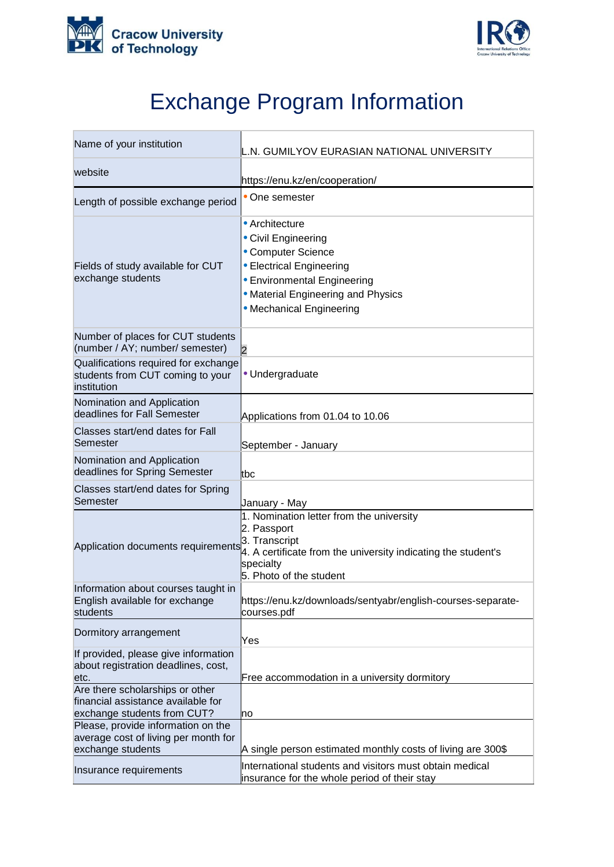



## Exchange Program Information

| Name of your institution                                                                             | L.N. GUMILYOV EURASIAN NATIONAL UNIVERSITY                                                                                                                                                      |
|------------------------------------------------------------------------------------------------------|-------------------------------------------------------------------------------------------------------------------------------------------------------------------------------------------------|
| website                                                                                              | https://enu.kz/en/cooperation/                                                                                                                                                                  |
| Length of possible exchange period                                                                   | • One semester                                                                                                                                                                                  |
| Fields of study available for CUT<br>exchange students                                               | • Architecture<br>• Civil Engineering<br>• Computer Science<br>• Electrical Engineering<br><b>• Environmental Engineering</b><br>• Material Engineering and Physics<br>• Mechanical Engineering |
| Number of places for CUT students<br>(number / AY; number/ semester)                                 | $\overline{2}$                                                                                                                                                                                  |
| Qualifications required for exchange<br>students from CUT coming to your<br>institution              | · Undergraduate                                                                                                                                                                                 |
| Nomination and Application<br>deadlines for Fall Semester                                            | Applications from 01.04 to 10.06                                                                                                                                                                |
| Classes start/end dates for Fall<br>Semester                                                         | September - January                                                                                                                                                                             |
| Nomination and Application<br>deadlines for Spring Semester                                          | tbc                                                                                                                                                                                             |
| Classes start/end dates for Spring<br>Semester                                                       | January - May                                                                                                                                                                                   |
| Application documents requirements                                                                   | 1. Nomination letter from the university<br>2. Passport<br>3. Transcript<br>4. A certificate from the university indicating the student's<br>specialty<br>5. Photo of the student               |
| Information about courses taught in<br>English available for exchange<br>students                    | https://enu.kz/downloads/sentyabr/english-courses-separate-<br>courses.pdf                                                                                                                      |
| Dormitory arrangement                                                                                | Yes                                                                                                                                                                                             |
| If provided, please give information<br>about registration deadlines, cost,<br>etc.                  | Free accommodation in a university dormitory                                                                                                                                                    |
| Are there scholarships or other<br>financial assistance available for<br>exchange students from CUT? | no                                                                                                                                                                                              |
| Please, provide information on the<br>average cost of living per month for<br>exchange students      | A single person estimated monthly costs of living are 300\$                                                                                                                                     |
| Insurance requirements                                                                               | International students and visitors must obtain medical<br>insurance for the whole period of their stay                                                                                         |